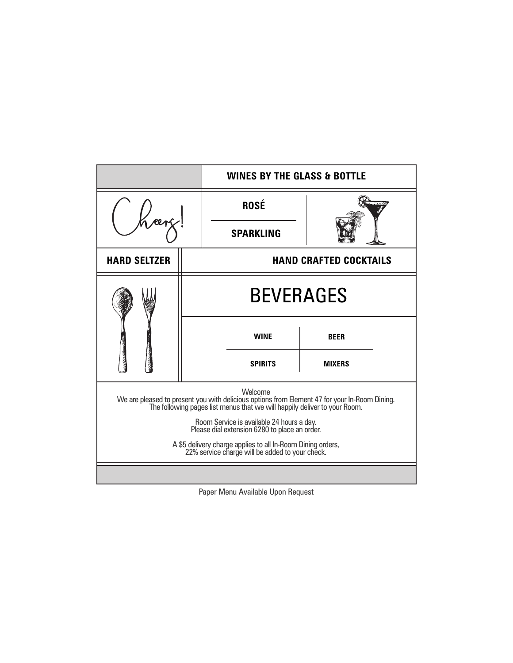|                                                                                                                                                                                       |                  | <b>WINES BY THE GLASS &amp; BOTTLE</b> |               |  |  |  |
|---------------------------------------------------------------------------------------------------------------------------------------------------------------------------------------|------------------|----------------------------------------|---------------|--|--|--|
|                                                                                                                                                                                       |                  | <b>ROSÉ</b>                            |               |  |  |  |
|                                                                                                                                                                                       |                  | <b>SPARKLING</b>                       |               |  |  |  |
| <b>HARD SELTZER</b>                                                                                                                                                                   |                  | <b>HAND CRAFTED COCKTAILS</b>          |               |  |  |  |
|                                                                                                                                                                                       | <b>BEVERAGES</b> |                                        |               |  |  |  |
|                                                                                                                                                                                       |                  | <b>WINE</b>                            | <b>BEER</b>   |  |  |  |
|                                                                                                                                                                                       |                  | <b>SPIRITS</b>                         | <b>MIXERS</b> |  |  |  |
| Welcome<br>We are pleased to present you with delicious options from Element 47 for your In-Room Dining.<br>The following pages list menus that we will happily deliver to your Room. |                  |                                        |               |  |  |  |
| Room Service is available 24 hours a day.<br>Please dial extension 6280 to place an order.                                                                                            |                  |                                        |               |  |  |  |
| A \$5 delivery charge applies to all In-Room Dining orders,<br>22% service charge will be added to your check.                                                                        |                  |                                        |               |  |  |  |
|                                                                                                                                                                                       |                  |                                        |               |  |  |  |

Paper Menu Available Upon Request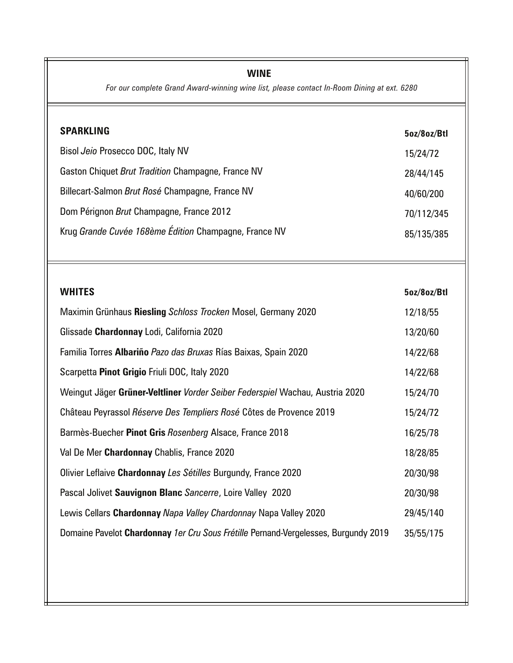# **WINE**

*For our complete Grand Award-winning wine list, please contact In-Room Dining at ext. 6280*

| <b>SPARKLING</b>                                      | 5oz/8oz/Btl |
|-------------------------------------------------------|-------------|
| Bisol Jeio Prosecco DOC, Italy NV                     | 15/24/72    |
| Gaston Chiquet Brut Tradition Champagne, France NV    | 28/44/145   |
| Billecart-Salmon Brut Rosé Champagne, France NV       | 40/60/200   |
| Dom Pérignon Brut Champagne, France 2012              | 70/112/345  |
| Krug Grande Cuvée 168ème Édition Champagne, France NV | 85/135/385  |

| <b>WHITES</b>                                                                       | 5oz/8oz/Btl |
|-------------------------------------------------------------------------------------|-------------|
| Maximin Grünhaus Riesling Schloss Trocken Mosel, Germany 2020                       | 12/18/55    |
| Glissade Chardonnay Lodi, California 2020                                           | 13/20/60    |
| Familia Torres Albariño Pazo das Bruxas Rías Baixas, Spain 2020                     | 14/22/68    |
| Scarpetta Pinot Grigio Friuli DOC, Italy 2020                                       | 14/22/68    |
| Weingut Jäger Grüner-Veltliner Vorder Seiber Federspiel Wachau, Austria 2020        | 15/24/70    |
| Château Peyrassol Réserve Des Templiers Rosé Côtes de Provence 2019                 | 15/24/72    |
| Barmès-Buecher Pinot Gris Rosenberg Alsace, France 2018                             | 16/25/78    |
| Val De Mer Chardonnay Chablis, France 2020                                          | 18/28/85    |
| Olivier Leflaive Chardonnay Les Sétilles Burgundy, France 2020                      | 20/30/98    |
| Pascal Jolivet Sauvignon Blanc Sancerre, Loire Valley 2020                          | 20/30/98    |
| Lewis Cellars Chardonnay Napa Valley Chardonnay Napa Valley 2020                    | 29/45/140   |
| Domaine Pavelot Chardonnay 1er Cru Sous Frétille Pernand-Vergelesses, Burgundy 2019 | 35/55/175   |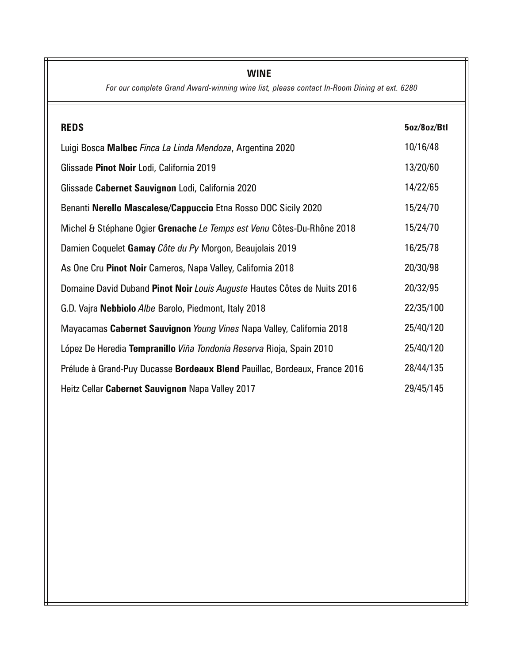# **WINE**

*For our complete Grand Award-winning wine list, please contact In-Room Dining at ext. 6280*

| <b>REDS</b>                                                                | 5oz/8oz/Btl |
|----------------------------------------------------------------------------|-------------|
| Luigi Bosca Malbec Finca La Linda Mendoza, Argentina 2020                  | 10/16/48    |
| Glissade Pinot Noir Lodi, California 2019                                  | 13/20/60    |
| Glissade Cabernet Sauvignon Lodi, California 2020                          | 14/22/65    |
| Benanti Nerello Mascalese/Cappuccio Etna Rosso DOC Sicily 2020             | 15/24/70    |
| Michel & Stéphane Ogier Grenache Le Temps est Venu Côtes-Du-Rhône 2018     | 15/24/70    |
| Damien Coquelet Gamay Côte du Py Morgon, Beaujolais 2019                   | 16/25/78    |
| As One Cru Pinot Noir Carneros, Napa Valley, California 2018               | 20/30/98    |
| Domaine David Duband Pinot Noir Louis Auguste Hautes Côtes de Nuits 2016   | 20/32/95    |
| G.D. Vajra Nebbiolo Albe Barolo, Piedmont, Italy 2018                      | 22/35/100   |
| Mayacamas Cabernet Sauvignon Young Vines Napa Valley, California 2018      | 25/40/120   |
| López De Heredia Tempranillo Viña Tondonia Reserva Rioja, Spain 2010       | 25/40/120   |
| Prélude à Grand-Puy Ducasse Bordeaux Blend Pauillac, Bordeaux, France 2016 | 28/44/135   |
| Heitz Cellar Cabernet Sauvignon Napa Valley 2017                           | 29/45/145   |